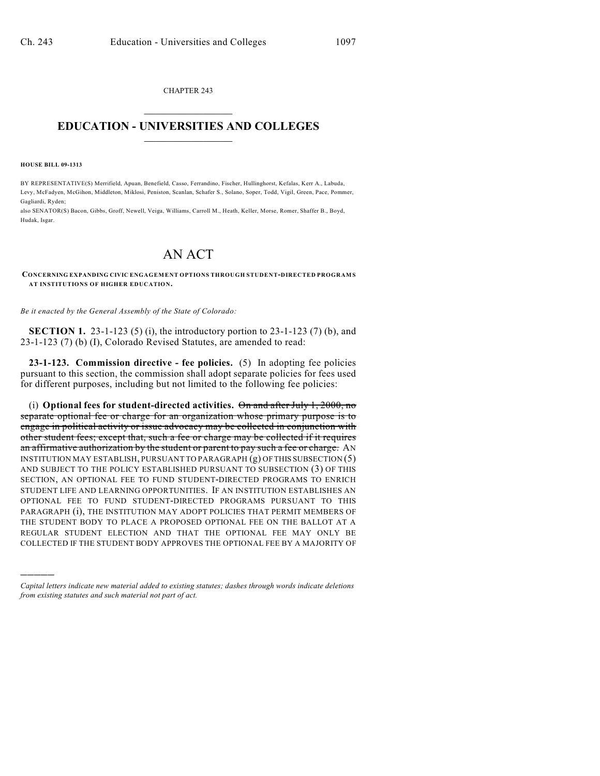CHAPTER 243  $\mathcal{L}_\text{max}$  . The set of the set of the set of the set of the set of the set of the set of the set of the set of the set of the set of the set of the set of the set of the set of the set of the set of the set of the set

## **EDUCATION - UNIVERSITIES AND COLLEGES**  $\frac{1}{2}$  ,  $\frac{1}{2}$  ,  $\frac{1}{2}$  ,  $\frac{1}{2}$  ,  $\frac{1}{2}$  ,  $\frac{1}{2}$  ,  $\frac{1}{2}$

**HOUSE BILL 09-1313**

)))))

BY REPRESENTATIVE(S) Merrifield, Apuan, Benefield, Casso, Ferrandino, Fischer, Hullinghorst, Kefalas, Kerr A., Labuda, Levy, McFadyen, McGihon, Middleton, Miklosi, Peniston, Scanlan, Schafer S., Solano, Soper, Todd, Vigil, Green, Pace, Pommer, Gagliardi, Ryden;

also SENATOR(S) Bacon, Gibbs, Groff, Newell, Veiga, Williams, Carroll M., Heath, Keller, Morse, Romer, Shaffer B., Boyd, Hudak, Isgar.

## AN ACT

**CONCERNING EXPANDING CIVIC ENGAGEMENT OPTIONS THROUGH STUDENT-DIRECTED PROGRAM S AT INSTITUTIONS OF HIGHER EDUCATION.**

*Be it enacted by the General Assembly of the State of Colorado:*

**SECTION 1.** 23-1-123 (5) (i), the introductory portion to 23-1-123 (7) (b), and 23-1-123 (7) (b) (I), Colorado Revised Statutes, are amended to read:

**23-1-123. Commission directive - fee policies.** (5) In adopting fee policies pursuant to this section, the commission shall adopt separate policies for fees used for different purposes, including but not limited to the following fee policies:

(i) **Optional fees for student-directed activities.** On and after July 1, 2000, no separate optional fee or charge for an organization whose primary purpose is to engage in political activity or issue advocacy may be collected in conjunction with other student fees; except that, such a fee or charge may be collected if it requires an affirmative authorization by the student or parent to pay such a fee or charge. AN INSTITUTION MAY ESTABLISH, PURSUANT TO PARAGRAPH (g) OF THIS SUBSECTION (5) AND SUBJECT TO THE POLICY ESTABLISHED PURSUANT TO SUBSECTION (3) OF THIS SECTION, AN OPTIONAL FEE TO FUND STUDENT-DIRECTED PROGRAMS TO ENRICH STUDENT LIFE AND LEARNING OPPORTUNITIES. IF AN INSTITUTION ESTABLISHES AN OPTIONAL FEE TO FUND STUDENT-DIRECTED PROGRAMS PURSUANT TO THIS PARAGRAPH (i), THE INSTITUTION MAY ADOPT POLICIES THAT PERMIT MEMBERS OF THE STUDENT BODY TO PLACE A PROPOSED OPTIONAL FEE ON THE BALLOT AT A REGULAR STUDENT ELECTION AND THAT THE OPTIONAL FEE MAY ONLY BE COLLECTED IF THE STUDENT BODY APPROVES THE OPTIONAL FEE BY A MAJORITY OF

*Capital letters indicate new material added to existing statutes; dashes through words indicate deletions from existing statutes and such material not part of act.*